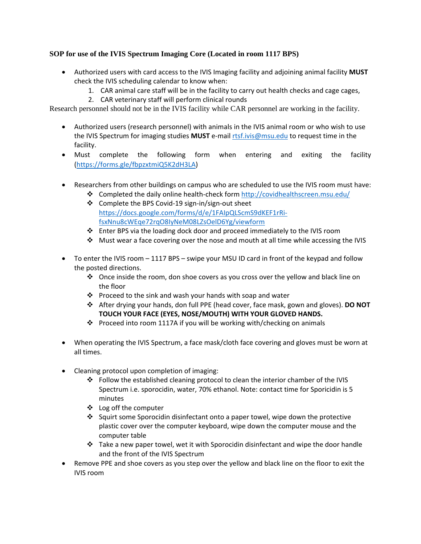## **SOP for use of the IVIS Spectrum Imaging Core (Located in room 1117 BPS)**

- Authorized users with card access to the IVIS Imaging facility and adjoining animal facility **MUST** check the IVIS scheduling calendar to know when:
	- 1. CAR animal care staff will be in the facility to carry out health checks and cage cages,
	- 2. CAR veterinary staff will perform clinical rounds

Research personnel should not be in the IVIS facility while CAR personnel are working in the facility.

- Authorized users (research personnel) with animals in the IVIS animal room or who wish to use the IVIS Spectrum for imaging studies **MUST** e-mail [rtsf.ivis@msu.edu](mailto:rtsf.ivis@msu.edu) to request time in the facility.
- Must complete the following form when entering and exiting the facility [\(https://forms.gle/fbpzxtmiQ5K2dH3LA\)](https://forms.gle/fbpzxtmiQ5K2dH3LA)
- Researchers from other buildings on campus who are scheduled to use the IVIS room must have:
	- Completed the daily online health-check form<http://covidhealthscreen.msu.edu/>
	- Complete the BPS Covid-19 sign-in/sign-out sheet [https://docs.google.com/forms/d/e/1FAIpQLScmS9dKEF1rRi](https://docs.google.com/forms/d/e/1FAIpQLScmS9dKEF1rRi-fsxNnu8cWEqe72rqO8IyNeM08LZsOelD6Yg/viewform)[fsxNnu8cWEqe72rqO8IyNeM08LZsOelD6Yg/viewform](https://docs.google.com/forms/d/e/1FAIpQLScmS9dKEF1rRi-fsxNnu8cWEqe72rqO8IyNeM08LZsOelD6Yg/viewform)
	- Enter BPS via the loading dock door and proceed immediately to the IVIS room
	- Must wear a face covering over the nose and mouth at all time while accessing the IVIS
- To enter the IVIS room 1117 BPS swipe your MSU ID card in front of the keypad and follow the posted directions.
	- $\clubsuit$  Once inside the room, don shoe covers as you cross over the yellow and black line on the floor
	- $\cdot \cdot$  Proceed to the sink and wash your hands with soap and water
	- After drying your hands, don full PPE (head cover, face mask, gown and gloves). **DO NOT TOUCH YOUR FACE (EYES, NOSE/MOUTH) WITH YOUR GLOVED HANDS.**
	- Proceed into room 1117A if you will be working with/checking on animals
- When operating the IVIS Spectrum, a face mask/cloth face covering and gloves must be worn at all times.
- Cleaning protocol upon completion of imaging:
	- $\div$  Follow the established cleaning protocol to clean the interior chamber of the IVIS Spectrum i.e. sporocidin, water, 70% ethanol. Note: contact time for Sporicidin is 5 minutes
	- ❖ Log off the computer
	- $\cdot$  Squirt some Sporocidin disinfectant onto a paper towel, wipe down the protective plastic cover over the computer keyboard, wipe down the computer mouse and the computer table
	- $\cdot \cdot$  Take a new paper towel, wet it with Sporocidin disinfectant and wipe the door handle and the front of the IVIS Spectrum
- Remove PPE and shoe covers as you step over the yellow and black line on the floor to exit the IVIS room